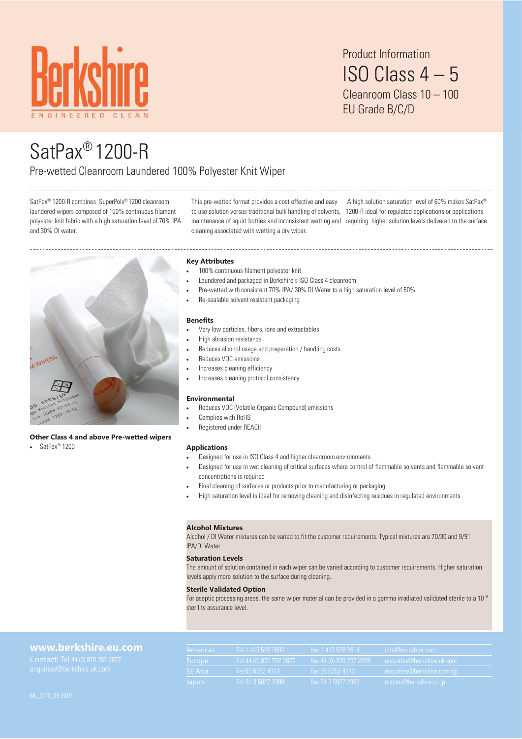

Product Information ISO Class 4 – 5 Cleanroom Class 10 – 100 EU Grade B/C/D

# SatPax® 1200-R

# Pre-wetted Cleanroom Laundered 100% Polyester Knit Wiper

SatPax® 1200-R combines SuperPolx® 1200 cleanroom laundered wipers composed of 100% continuous filament polyester knit fabric with a high saturation level of 70% IPA and 30% DI water.

This pre-wetted format provides a cost effective and easy to use solution versus traditional bulk handling of solvents, 1200-R ideal for regulated applications or applications maintenance of squirt bottles and inconsistent wetting and requiring higher solution levels delivered to the surface. cleaning associated with wetting a dry wiper. A high solution saturation level of 60% makes SatPax®



#### **Other Class 4 and above Pre-wetted wipers**

• SatPax® 1200

#### **Key Attributes**

- 100% continuous filament polyester knit
- Laundered and packaged in Berkshire's ISO Class 4 cleanroom
- Pre-wetted with consistent 70% IPA/ 30% DI Water to a high saturation level of 60%
- Re-sealable solvent resistant packaging

#### **Benefits**

- Very low particles, fibers, ions and extractables
- High abrasion resistance
- Reduces alcohol usage and preparation / handling costs
- Reduces VOC emissions
- Increases cleaning efficiency
- Increases cleaning protocol consistency

#### **Environmental**

- Reduces VOC (Volatile Organic Compound) emissions
- Complies with RoHS
- Registered under REACH

#### **Applications**

- Designed for use in ISO Class 4 and higher cleanroom environments
- Designed for use in wet cleaning of critical surfaces where control of flammable solvents and flammable solvent concentrations is required
- Final cleaning of surfaces or products prior to manufacturing or packaging
- High saturation level is ideal for removing cleaning and disinfecting residues in regulated environments

#### **Alcohol Mixtures**

Alcohol / DI Water mixtures can be varied to fit the customer requirements. Typical mixtures are 70/30 and 9/91 IPA/DI Water.

#### **Saturation Levels**

The amount of solution contained in each wiper can be varied according to customer requirements. Higher saturation levels apply more solution to the surface during cleaning.

#### **Sterile Validated Option**

For aseptic processing areas, the same wiper material can be provided in a gamma irradiated validated sterile to a  $10^{-6}$ sterility assurance level.

## **[www.berkshire.eu.com](http://www.berkshire.com)**

| <b>Americas</b> | Tel 1 413 528 2602       | Fax 1 413 528 2614      | info@berkshire.com         |
|-----------------|--------------------------|-------------------------|----------------------------|
| <b>Lurope</b>   | Tel 44 (0) 870 757 2877' | Fax 44 (0) 870 757 2878 | enquiries@berkshire.uk.com |
| <b>SE</b> Asia  | Tel 65 6252 4313         | Fax 65 6252 4312        | enquiries@berkshire.com.sq |
| Japan           | Tel 81 3 5827 2380       | Fax 81 3 5827 2382      | master@berkshire.co.jp     |